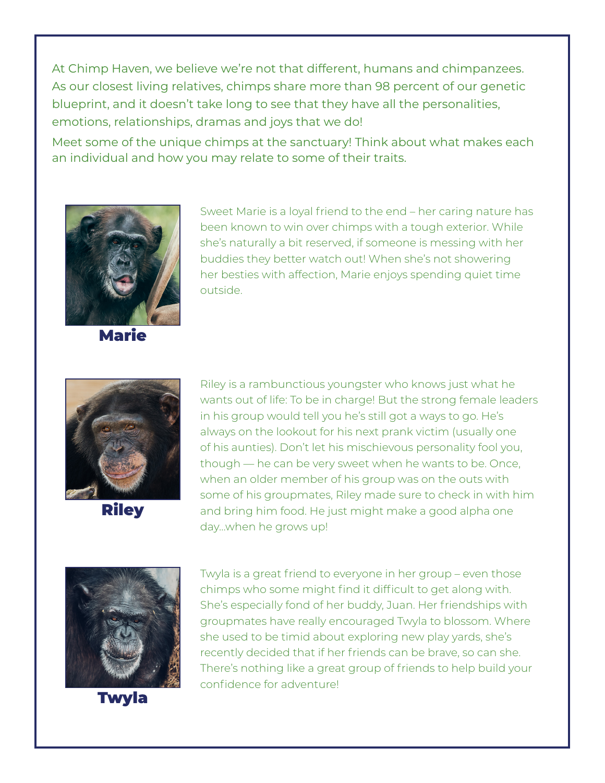At Chimp Haven, we believe we're not that different, humans and chimpanzees. As our closest living relatives, chimps share more than 98 percent of our genetic blueprint, and it doesn't take long to see that they have all the personalities, emotions, relationships, dramas and joys that we do!

Meet some of the unique chimps at the sanctuary! Think about what makes each an individual and how you may relate to some of their traits.



Marie

Sweet Marie is a loyal friend to the end – her caring nature has been known to win over chimps with a tough exterior. While she's naturally a bit reserved, if someone is messing with her buddies they better watch out! When she's not showering her besties with affection, Marie enjoys spending quiet time outside.



**Riley** 

Riley is a rambunctious youngster who knows just what he wants out of life: To be in charge! But the strong female leaders in his group would tell you he's still got a ways to go. He's always on the lookout for his next prank victim (usually one of his aunties). Don't let his mischievous personality fool you, though — he can be very sweet when he wants to be. Once, when an older member of his group was on the outs with some of his groupmates, Riley made sure to check in with him and bring him food. He just might make a good alpha one day…when he grows up!



Twyla

Twyla is a great friend to everyone in her group – even those chimps who some might find it difficult to get along with. She's especially fond of her buddy, Juan. Her friendships with groupmates have really encouraged Twyla to blossom. Where she used to be timid about exploring new play yards, she's recently decided that if her friends can be brave, so can she. There's nothing like a great group of friends to help build your confidence for adventure!